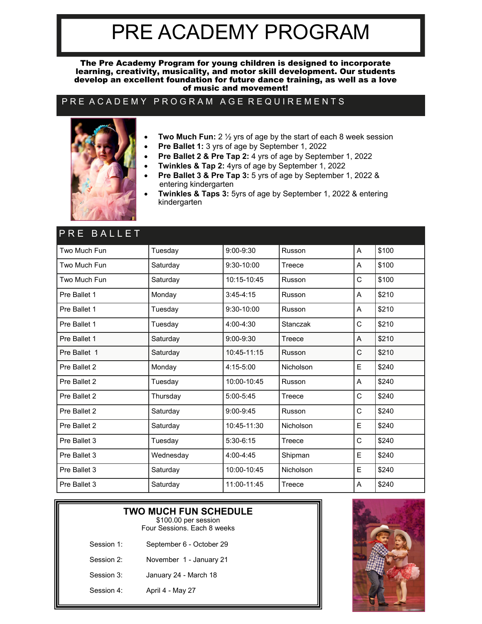# PRE ACADEMY PROGRAM

The Pre Academy Program for young children is designed to incorporate learning, creativity, musicality, and motor skill development. Our students develop an excellent foundation for future dance training, as well as a love of music and movement!

#### PRE A CADEMY PROGRAM AGE REQUIREMENTS



- **Two Much Fun:** 2 ½ yrs of age by the start of each 8 week session
- **Pre Ballet 1:** 3 yrs of age by September 1, 2022
- **Pre Ballet 2 & Pre Tap 2:** 4 yrs of age by September 1, 2022
	- **Twinkles & Tap 2:** 4yrs of age by September 1, 2022
- **Pre Ballet 3 & Pre Tap 3:** 5 yrs of age by September 1, 2022 & entering kindergarten
- **Twinkles & Taps 3:** 5yrs of age by September 1, 2022 & entering kindergarten

| PRE BALLET   |           |                |           |   |       |
|--------------|-----------|----------------|-----------|---|-------|
| Two Much Fun | Tuesday   | 9:00-9:30      | Russon    | A | \$100 |
| Two Much Fun | Saturday  | $9:30 - 10:00$ | Treece    | A | \$100 |
| Two Much Fun | Saturday  | 10:15-10:45    | Russon    | C | \$100 |
| Pre Ballet 1 | Monday    | $3:45-4:15$    | Russon    | A | \$210 |
| Pre Ballet 1 | Tuesday   | 9:30-10:00     | Russon    | A | \$210 |
| Pre Ballet 1 | Tuesday   | $4:00 - 4:30$  | Stanczak  | C | \$210 |
| Pre Ballet 1 | Saturday  | $9:00 - 9:30$  | Treece    | A | \$210 |
| Pre Ballet 1 | Saturday  | 10:45-11:15    | Russon    | C | \$210 |
| Pre Ballet 2 | Monday    | $4:15 - 5:00$  | Nicholson | E | \$240 |
| Pre Ballet 2 | Tuesday   | 10:00-10:45    | Russon    | A | \$240 |
| Pre Ballet 2 | Thursday  | 5:00-5:45      | Treece    | C | \$240 |
| Pre Ballet 2 | Saturday  | $9:00 - 9:45$  | Russon    | C | \$240 |
| Pre Ballet 2 | Saturday  | 10:45-11:30    | Nicholson | E | \$240 |
| Pre Ballet 3 | Tuesday   | $5:30-6:15$    | Treece    | C | \$240 |
| Pre Ballet 3 | Wednesday | 4:00-4:45      | Shipman   | E | \$240 |
| Pre Ballet 3 | Saturday  | 10:00-10:45    | Nicholson | E | \$240 |
| Pre Ballet 3 | Saturday  | 11:00-11:45    | Treece    | Α | \$240 |

|            | <b>TWO MUCH FUN SCHEDULE</b><br>\$100.00 per session<br>Four Sessions, Fach 8 weeks |  |  |  |  |
|------------|-------------------------------------------------------------------------------------|--|--|--|--|
| Session 1: | September 6 - October 29                                                            |  |  |  |  |
| Session 2: | November 1 - January 21                                                             |  |  |  |  |
| Session 3: | January 24 - March 18                                                               |  |  |  |  |
| Session 4: | April 4 - May 27                                                                    |  |  |  |  |